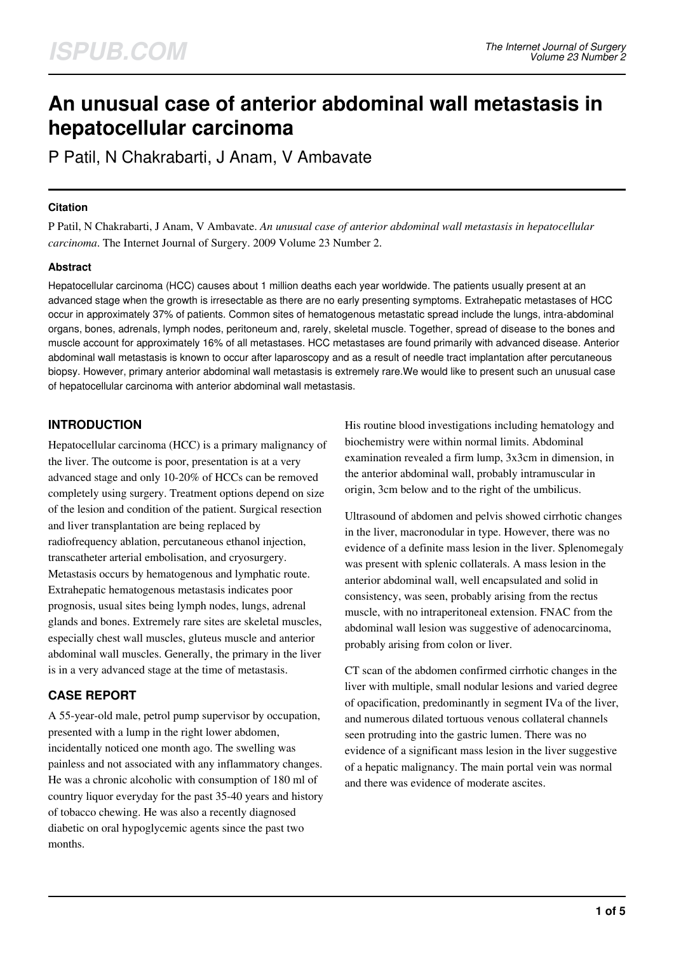# **An unusual case of anterior abdominal wall metastasis in hepatocellular carcinoma**

P Patil, N Chakrabarti, J Anam, V Ambavate

### **Citation**

P Patil, N Chakrabarti, J Anam, V Ambavate. *An unusual case of anterior abdominal wall metastasis in hepatocellular carcinoma*. The Internet Journal of Surgery. 2009 Volume 23 Number 2.

# **Abstract**

Hepatocellular carcinoma (HCC) causes about 1 million deaths each year worldwide. The patients usually present at an advanced stage when the growth is irresectable as there are no early presenting symptoms. Extrahepatic metastases of HCC occur in approximately 37% of patients. Common sites of hematogenous metastatic spread include the lungs, intra-abdominal organs, bones, adrenals, lymph nodes, peritoneum and, rarely, skeletal muscle. Together, spread of disease to the bones and muscle account for approximately 16% of all metastases. HCC metastases are found primarily with advanced disease. Anterior abdominal wall metastasis is known to occur after laparoscopy and as a result of needle tract implantation after percutaneous biopsy. However, primary anterior abdominal wall metastasis is extremely rare.We would like to present such an unusual case of hepatocellular carcinoma with anterior abdominal wall metastasis.

# **INTRODUCTION**

Hepatocellular carcinoma (HCC) is a primary malignancy of the liver. The outcome is poor, presentation is at a very advanced stage and only 10-20% of HCCs can be removed completely using surgery. Treatment options depend on size of the lesion and condition of the patient. Surgical resection and liver transplantation are being replaced by radiofrequency ablation, percutaneous ethanol injection, transcatheter arterial embolisation, and cryosurgery. Metastasis occurs by hematogenous and lymphatic route. Extrahepatic hematogenous metastasis indicates poor prognosis, usual sites being lymph nodes, lungs, adrenal glands and bones. Extremely rare sites are skeletal muscles, especially chest wall muscles, gluteus muscle and anterior abdominal wall muscles. Generally, the primary in the liver is in a very advanced stage at the time of metastasis.

# **CASE REPORT**

A 55-year-old male, petrol pump supervisor by occupation, presented with a lump in the right lower abdomen, incidentally noticed one month ago. The swelling was painless and not associated with any inflammatory changes. He was a chronic alcoholic with consumption of 180 ml of country liquor everyday for the past 35-40 years and history of tobacco chewing. He was also a recently diagnosed diabetic on oral hypoglycemic agents since the past two months.

His routine blood investigations including hematology and biochemistry were within normal limits. Abdominal examination revealed a firm lump, 3x3cm in dimension, in the anterior abdominal wall, probably intramuscular in origin, 3cm below and to the right of the umbilicus.

Ultrasound of abdomen and pelvis showed cirrhotic changes in the liver, macronodular in type. However, there was no evidence of a definite mass lesion in the liver. Splenomegaly was present with splenic collaterals. A mass lesion in the anterior abdominal wall, well encapsulated and solid in consistency, was seen, probably arising from the rectus muscle, with no intraperitoneal extension. FNAC from the abdominal wall lesion was suggestive of adenocarcinoma, probably arising from colon or liver.

CT scan of the abdomen confirmed cirrhotic changes in the liver with multiple, small nodular lesions and varied degree of opacification, predominantly in segment IVa of the liver, and numerous dilated tortuous venous collateral channels seen protruding into the gastric lumen. There was no evidence of a significant mass lesion in the liver suggestive of a hepatic malignancy. The main portal vein was normal and there was evidence of moderate ascites.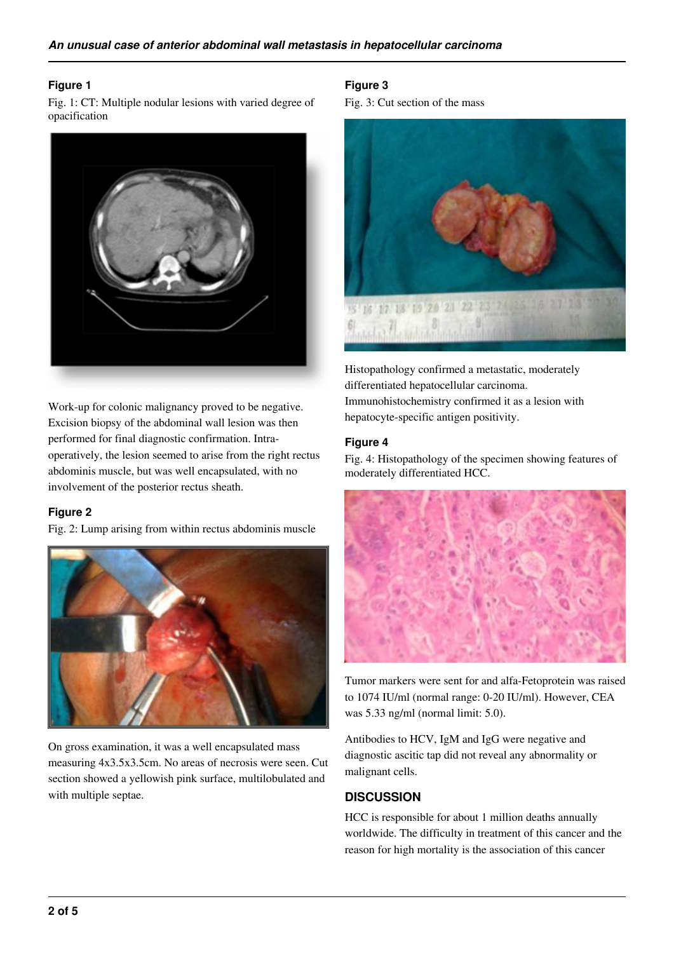### **Figure 1**

Fig. 1: CT: Multiple nodular lesions with varied degree of opacification



Work-up for colonic malignancy proved to be negative. Excision biopsy of the abdominal wall lesion was then performed for final diagnostic confirmation. Intraoperatively, the lesion seemed to arise from the right rectus abdominis muscle, but was well encapsulated, with no involvement of the posterior rectus sheath.

#### **Figure 2**

Fig. 2: Lump arising from within rectus abdominis muscle



On gross examination, it was a well encapsulated mass measuring 4x3.5x3.5cm. No areas of necrosis were seen. Cut section showed a yellowish pink surface, multilobulated and with multiple septae.

## **Figure 3**

Fig. 3: Cut section of the mass



Histopathology confirmed a metastatic, moderately differentiated hepatocellular carcinoma. Immunohistochemistry confirmed it as a lesion with hepatocyte-specific antigen positivity.

# **Figure 4**

Fig. 4: Histopathology of the specimen showing features of moderately differentiated HCC.



Tumor markers were sent for and alfa-Fetoprotein was raised to 1074 IU/ml (normal range: 0-20 IU/ml). However, CEA was 5.33 ng/ml (normal limit: 5.0).

Antibodies to HCV, IgM and IgG were negative and diagnostic ascitic tap did not reveal any abnormality or malignant cells.

# **DISCUSSION**

HCC is responsible for about 1 million deaths annually worldwide. The difficulty in treatment of this cancer and the reason for high mortality is the association of this cancer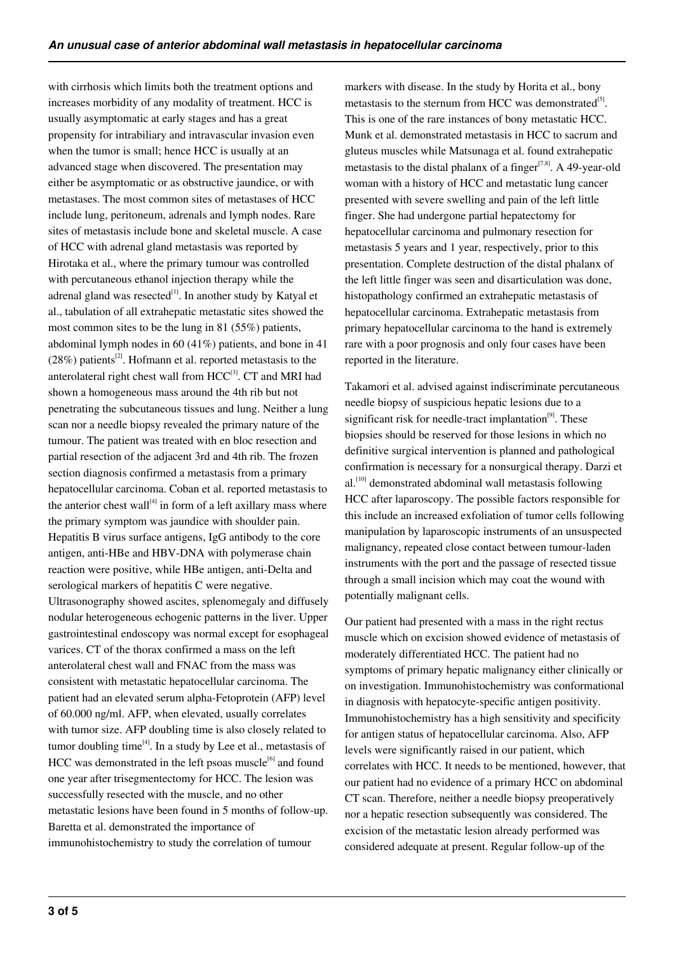with cirrhosis which limits both the treatment options and increases morbidity of any modality of treatment. HCC is usually asymptomatic at early stages and has a great propensity for intrabiliary and intravascular invasion even when the tumor is small; hence HCC is usually at an advanced stage when discovered. The presentation may either be asymptomatic or as obstructive jaundice, or with metastases. The most common sites of metastases of HCC include lung, peritoneum, adrenals and lymph nodes. Rare sites of metastasis include bone and skeletal muscle. A case of HCC with adrenal gland metastasis was reported by Hirotaka et al., where the primary tumour was controlled with percutaneous ethanol injection therapy while the adrenal gland was resected $^{[1]}$ . In another study by Katyal et al., tabulation of all extrahepatic metastatic sites showed the most common sites to be the lung in 81 (55%) patients, abdominal lymph nodes in 60 (41%) patients, and bone in 41  $(28\%)$  patients<sup>[2]</sup>. Hofmann et al. reported metastasis to the anterolateral right chest wall from HCC<sup>[3]</sup>. CT and MRI had shown a homogeneous mass around the 4th rib but not penetrating the subcutaneous tissues and lung. Neither a lung scan nor a needle biopsy revealed the primary nature of the tumour. The patient was treated with en bloc resection and partial resection of the adjacent 3rd and 4th rib. The frozen section diagnosis confirmed a metastasis from a primary hepatocellular carcinoma. Coban et al. reported metastasis to the anterior chest wall<sup>[4]</sup> in form of a left axillary mass where the primary symptom was jaundice with shoulder pain. Hepatitis B virus surface antigens, IgG antibody to the core antigen, anti-HBe and HBV-DNA with polymerase chain reaction were positive, while HBe antigen, anti-Delta and serological markers of hepatitis C were negative. Ultrasonography showed ascites, splenomegaly and diffusely nodular heterogeneous echogenic patterns in the liver. Upper gastrointestinal endoscopy was normal except for esophageal varices. CT of the thorax confirmed a mass on the left anterolateral chest wall and FNAC from the mass was consistent with metastatic hepatocellular carcinoma. The patient had an elevated serum alpha-Fetoprotein (AFP) level of 60.000 ng/ml. AFP, when elevated, usually correlates with tumor size. AFP doubling time is also closely related to tumor doubling time $^{[4]}$ . In a study by Lee et al., metastasis of HCC was demonstrated in the left psoas muscle $^{[6]}$  and found one year after trisegmentectomy for HCC. The lesion was successfully resected with the muscle, and no other metastatic lesions have been found in 5 months of follow-up. Baretta et al. demonstrated the importance of immunohistochemistry to study the correlation of tumour

markers with disease. In the study by Horita et al., bony metastasis to the sternum from HCC was demonstrated<sup>[5]</sup>. This is one of the rare instances of bony metastatic HCC. Munk et al. demonstrated metastasis in HCC to sacrum and gluteus muscles while Matsunaga et al. found extrahepatic metastasis to the distal phalanx of a finger<sup>[7,8]</sup>. A 49-year-old woman with a history of HCC and metastatic lung cancer presented with severe swelling and pain of the left little finger. She had undergone partial hepatectomy for hepatocellular carcinoma and pulmonary resection for metastasis 5 years and 1 year, respectively, prior to this presentation. Complete destruction of the distal phalanx of the left little finger was seen and disarticulation was done, histopathology confirmed an extrahepatic metastasis of hepatocellular carcinoma. Extrahepatic metastasis from primary hepatocellular carcinoma to the hand is extremely rare with a poor prognosis and only four cases have been reported in the literature.

Takamori et al. advised against indiscriminate percutaneous needle biopsy of suspicious hepatic lesions due to a significant risk for needle-tract implantation<sup>[9]</sup>. These biopsies should be reserved for those lesions in which no definitive surgical intervention is planned and pathological confirmation is necessary for a nonsurgical therapy. Darzi et  $al.$ <sup>[10]</sup> demonstrated abdominal wall metastasis following HCC after laparoscopy. The possible factors responsible for this include an increased exfoliation of tumor cells following manipulation by laparoscopic instruments of an unsuspected malignancy, repeated close contact between tumour-laden instruments with the port and the passage of resected tissue through a small incision which may coat the wound with potentially malignant cells.

Our patient had presented with a mass in the right rectus muscle which on excision showed evidence of metastasis of moderately differentiated HCC. The patient had no symptoms of primary hepatic malignancy either clinically or on investigation. Immunohistochemistry was conformational in diagnosis with hepatocyte-specific antigen positivity. Immunohistochemistry has a high sensitivity and specificity for antigen status of hepatocellular carcinoma. Also, AFP levels were significantly raised in our patient, which correlates with HCC. It needs to be mentioned, however, that our patient had no evidence of a primary HCC on abdominal CT scan. Therefore, neither a needle biopsy preoperatively nor a hepatic resection subsequently was considered. The excision of the metastatic lesion already performed was considered adequate at present. Regular follow-up of the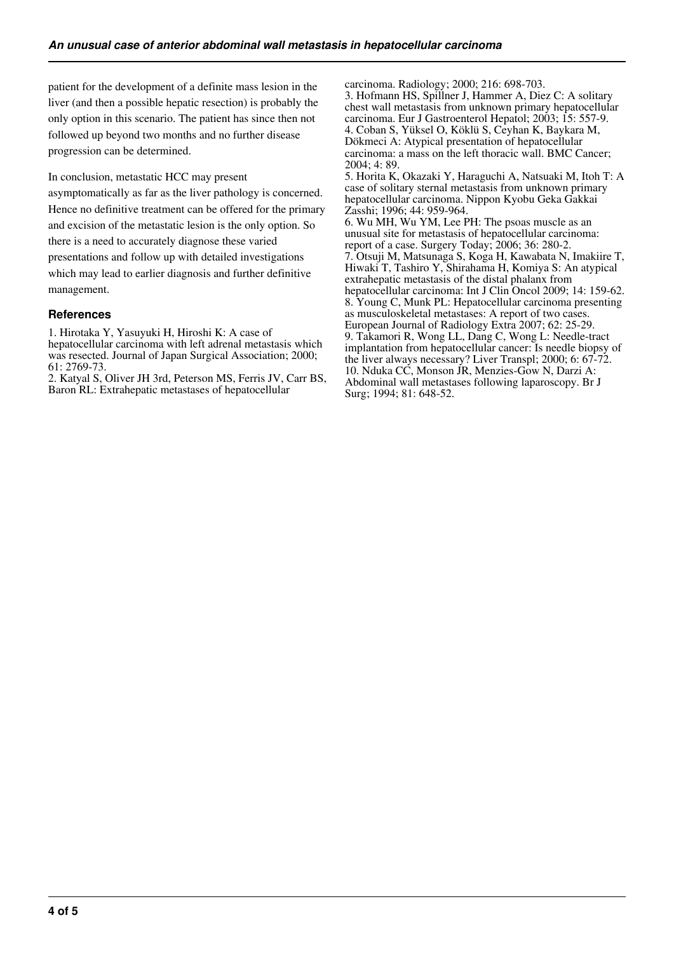patient for the development of a definite mass lesion in the liver (and then a possible hepatic resection) is probably the only option in this scenario. The patient has since then not followed up beyond two months and no further disease progression can be determined.

In conclusion, metastatic HCC may present

asymptomatically as far as the liver pathology is concerned. Hence no definitive treatment can be offered for the primary and excision of the metastatic lesion is the only option. So there is a need to accurately diagnose these varied presentations and follow up with detailed investigations which may lead to earlier diagnosis and further definitive management.

#### **References**

1. Hirotaka Y, Yasuyuki H, Hiroshi K: A case of hepatocellular carcinoma with left adrenal metastasis which was resected. Journal of Japan Surgical Association; 2000; 61: 2769-73.

2. Katyal S, Oliver JH 3rd, Peterson MS, Ferris JV, Carr BS, Baron RL: Extrahepatic metastases of hepatocellular

carcinoma. Radiology; 2000; 216: 698-703. 3. Hofmann HS, Spillner J, Hammer A, Diez C: A solitary chest wall metastasis from unknown primary hepatocellular carcinoma. Eur J Gastroenterol Hepatol; 2003; 15: 557-9. 4. Coban S, Yüksel O, Köklü S, Ceyhan K, Baykara M, Dökmeci A: Atypical presentation of hepatocellular carcinoma: a mass on the left thoracic wall. BMC Cancer; 2004; 4: 89. 5. Horita K, Okazaki Y, Haraguchi A, Natsuaki M, Itoh T: A case of solitary sternal metastasis from unknown primary hepatocellular carcinoma. Nippon Kyobu Geka Gakkai Zasshi; 1996; 44: 959-964. 6. Wu MH, Wu YM, Lee PH: The psoas muscle as an unusual site for metastasis of hepatocellular carcinoma: report of a case. Surgery Today; 2006; 36: 280-2. 7. Otsuji M, Matsunaga S, Koga H, Kawabata N, Imakiire T, Hiwaki T, Tashiro Y, Shirahama H, Komiya S: An atypical extrahepatic metastasis of the distal phalanx from hepatocellular carcinoma: Int J Clin Oncol 2009; 14: 159-62. 8. Young C, Munk PL: Hepatocellular carcinoma presenting as musculoskeletal metastases: A report of two cases. European Journal of Radiology Extra 2007; 62: 25-29. 9. Takamori R, Wong LL, Dang C, Wong L: Needle-tract implantation from hepatocellular cancer: Is needle biopsy of the liver always necessary? Liver Transpl; 2000; 6: 67-72. 10. Nduka CC, Monson JR, Menzies-Gow N, Darzi A: Abdominal wall metastases following laparoscopy. Br J

Surg; 1994; 81: 648-52.